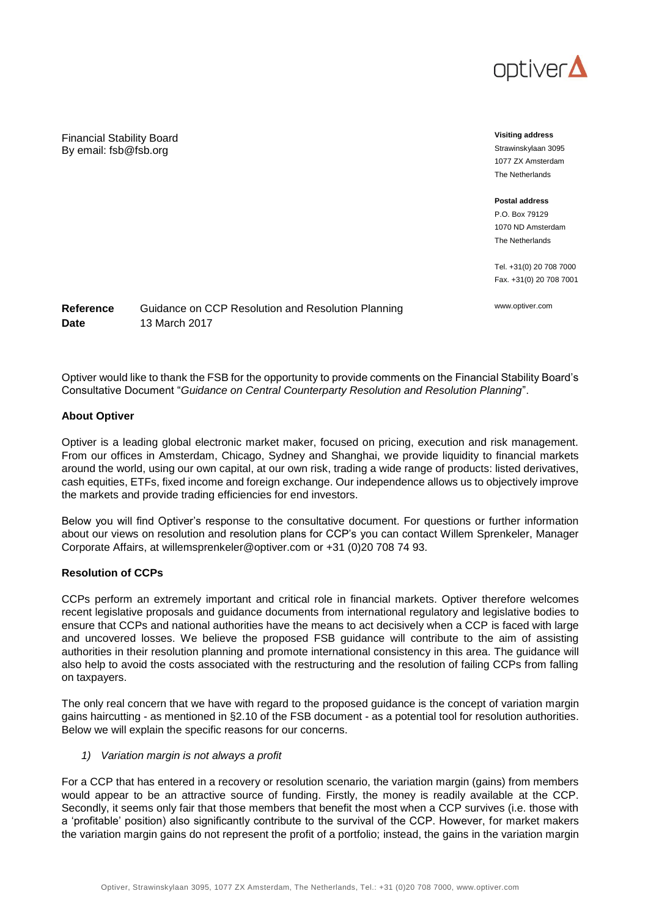

Financial Stability Board By email: fsb@fsb.org

#### **Visiting address**

Strawinskylaan 3095 1077 ZX Amsterdam The Netherlands

#### **Postal address**

P.O. Box 79129 1070 ND Amsterdam The Netherlands

Tel. +31(0) 20 708 7000 Fax. +31(0) 20 708 7001

www.optiver.com

| Reference | Guidance on CCP Resolution and Resolution Planning |
|-----------|----------------------------------------------------|
| Date      | 13 March 2017                                      |

Optiver would like to thank the FSB for the opportunity to provide comments on the Financial Stability Board's Consultative Document "*Guidance on Central Counterparty Resolution and Resolution Planning*".

# **About Optiver**

Optiver is a leading global electronic market maker, focused on pricing, execution and risk management. From our offices in Amsterdam, Chicago, Sydney and Shanghai, we provide liquidity to financial markets around the world, using our own capital, at our own risk, trading a wide range of products: listed derivatives, cash equities, ETFs, fixed income and foreign exchange. Our independence allows us to objectively improve the markets and provide trading efficiencies for end investors.

Below you will find Optiver's response to the consultative document. For questions or further information about our views on resolution and resolution plans for CCP's you can contact Willem Sprenkeler, Manager Corporate Affairs, at willemsprenkeler@optiver.com or +31 (0)20 708 74 93.

# **Resolution of CCPs**

CCPs perform an extremely important and critical role in financial markets. Optiver therefore welcomes recent legislative proposals and guidance documents from international regulatory and legislative bodies to ensure that CCPs and national authorities have the means to act decisively when a CCP is faced with large and uncovered losses. We believe the proposed FSB guidance will contribute to the aim of assisting authorities in their resolution planning and promote international consistency in this area. The guidance will also help to avoid the costs associated with the restructuring and the resolution of failing CCPs from falling on taxpayers.

The only real concern that we have with regard to the proposed guidance is the concept of variation margin gains haircutting - as mentioned in §2.10 of the FSB document - as a potential tool for resolution authorities. Below we will explain the specific reasons for our concerns.

## *1) Variation margin is not always a profit*

For a CCP that has entered in a recovery or resolution scenario, the variation margin (gains) from members would appear to be an attractive source of funding. Firstly, the money is readily available at the CCP. Secondly, it seems only fair that those members that benefit the most when a CCP survives (i.e. those with a 'profitable' position) also significantly contribute to the survival of the CCP. However, for market makers the variation margin gains do not represent the profit of a portfolio; instead, the gains in the variation margin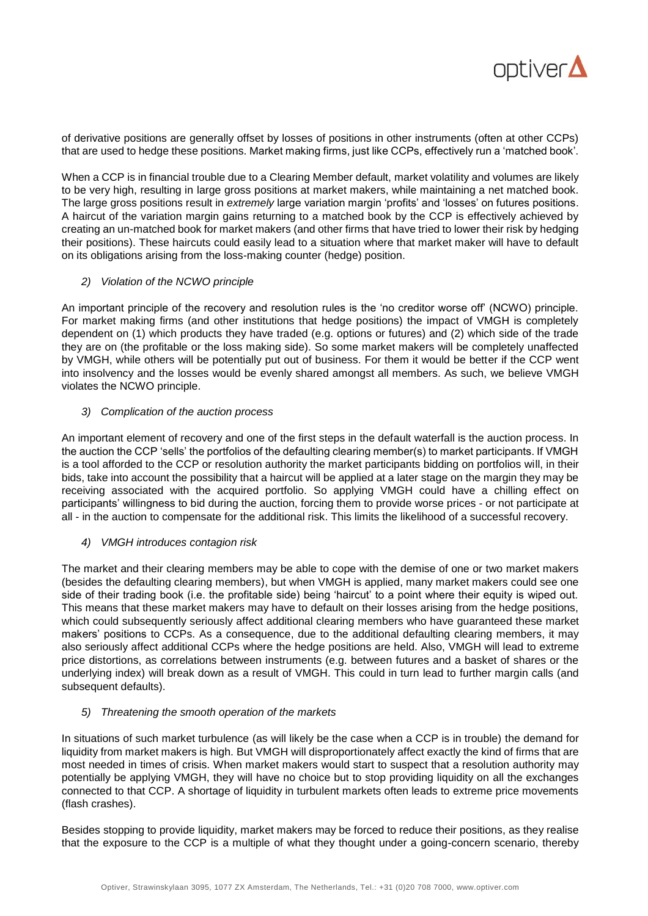

of derivative positions are generally offset by losses of positions in other instruments (often at other CCPs) that are used to hedge these positions. Market making firms, just like CCPs, effectively run a 'matched book'.

When a CCP is in financial trouble due to a Clearing Member default, market volatility and volumes are likely to be very high, resulting in large gross positions at market makers, while maintaining a net matched book. The large gross positions result in *extremely* large variation margin 'profits' and 'losses' on futures positions. A haircut of the variation margin gains returning to a matched book by the CCP is effectively achieved by creating an un-matched book for market makers (and other firms that have tried to lower their risk by hedging their positions). These haircuts could easily lead to a situation where that market maker will have to default on its obligations arising from the loss-making counter (hedge) position.

# *2) Violation of the NCWO principle*

An important principle of the recovery and resolution rules is the 'no creditor worse off' (NCWO) principle. For market making firms (and other institutions that hedge positions) the impact of VMGH is completely dependent on (1) which products they have traded (e.g. options or futures) and (2) which side of the trade they are on (the profitable or the loss making side). So some market makers will be completely unaffected by VMGH, while others will be potentially put out of business. For them it would be better if the CCP went into insolvency and the losses would be evenly shared amongst all members. As such, we believe VMGH violates the NCWO principle.

# *3) Complication of the auction process*

An important element of recovery and one of the first steps in the default waterfall is the auction process. In the auction the CCP 'sells' the portfolios of the defaulting clearing member(s) to market participants. If VMGH is a tool afforded to the CCP or resolution authority the market participants bidding on portfolios will, in their bids, take into account the possibility that a haircut will be applied at a later stage on the margin they may be receiving associated with the acquired portfolio. So applying VMGH could have a chilling effect on participants' willingness to bid during the auction, forcing them to provide worse prices - or not participate at all - in the auction to compensate for the additional risk. This limits the likelihood of a successful recovery.

## *4) VMGH introduces contagion risk*

The market and their clearing members may be able to cope with the demise of one or two market makers (besides the defaulting clearing members), but when VMGH is applied, many market makers could see one side of their trading book (i.e. the profitable side) being 'haircut' to a point where their equity is wiped out. This means that these market makers may have to default on their losses arising from the hedge positions, which could subsequently seriously affect additional clearing members who have guaranteed these market makers' positions to CCPs. As a consequence, due to the additional defaulting clearing members, it may also seriously affect additional CCPs where the hedge positions are held. Also, VMGH will lead to extreme price distortions, as correlations between instruments (e.g. between futures and a basket of shares or the underlying index) will break down as a result of VMGH. This could in turn lead to further margin calls (and subsequent defaults).

## *5) Threatening the smooth operation of the markets*

In situations of such market turbulence (as will likely be the case when a CCP is in trouble) the demand for liquidity from market makers is high. But VMGH will disproportionately affect exactly the kind of firms that are most needed in times of crisis. When market makers would start to suspect that a resolution authority may potentially be applying VMGH, they will have no choice but to stop providing liquidity on all the exchanges connected to that CCP. A shortage of liquidity in turbulent markets often leads to extreme price movements (flash crashes).

Besides stopping to provide liquidity, market makers may be forced to reduce their positions, as they realise that the exposure to the CCP is a multiple of what they thought under a going-concern scenario, thereby